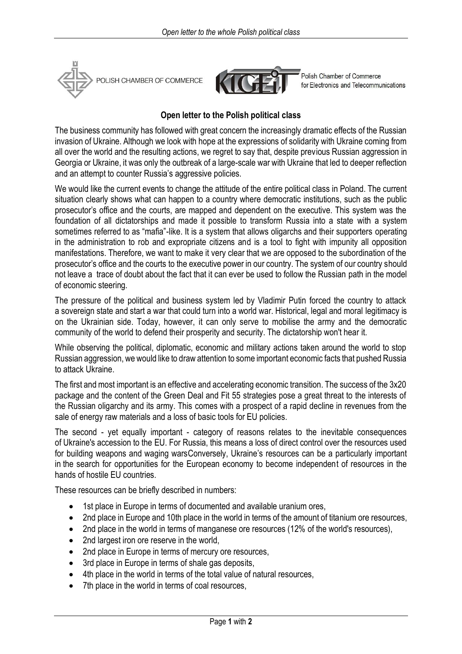



Polish Chamber of Commerce for Electronics and Telecommunications

## **Open letter to the Polish political class**

The business community has followed with great concern the increasingly dramatic effects of the Russian invasion of Ukraine. Although we look with hope at the expressions of solidarity with Ukraine coming from all over the world and the resulting actions, we regret to say that, despite previous Russian aggression in Georgia or Ukraine, it was only the outbreak of a large-scale war with Ukraine that led to deeper reflection and an attempt to counter Russia's aggressive policies.

We would like the current events to change the attitude of the entire political class in Poland. The current situation clearly shows what can happen to a country where democratic institutions, such as the public prosecutor's office and the courts, are mapped and dependent on the executive. This system was the foundation of all dictatorships and made it possible to transform Russia into a state with a system sometimes referred to as "mafia"-like. It is a system that allows oligarchs and their supporters operating in the administration to rob and expropriate citizens and is a tool to fight with impunity all opposition manifestations. Therefore, we want to make it very clear that we are opposed to the subordination of the prosecutor's office and the courts to the executive power in our country. The system of our country should not leave a trace of doubt about the fact that it can ever be used to follow the Russian path in the model of economic steering.

The pressure of the political and business system led by Vladimir Putin forced the country to attack a sovereign state and start a war that could turn into a world war. Historical, legal and moral legitimacy is on the Ukrainian side. Today, however, it can only serve to mobilise the army and the democratic community of the world to defend their prosperity and security. The dictatorship won't hear it.

While observing the political, diplomatic, economic and military actions taken around the world to stop Russian aggression, we would like to draw attention to some important economic facts that pushed Russia to attack Ukraine.

The first and most important is an effective and accelerating economic transition. The success of the 3x20 package and the content of the Green Deal and Fit 55 strategies pose a great threat to the interests of the Russian oligarchy and its army. This comes with a prospect of a rapid decline in revenues from the sale of energy raw materials and a loss of basic tools for EU policies.

The second - yet equally important - category of reasons relates to the inevitable consequences of Ukraine's accession to the EU. For Russia, this means a loss of direct control over the resources used for building weapons and waging warsConversely, Ukraine's resources can be a particularly important in the search for opportunities for the European economy to become independent of resources in the hands of hostile EU countries.

These resources can be briefly described in numbers:

- 1st place in Europe in terms of documented and available uranium ores,
- 2nd place in Europe and 10th place in the world in terms of the amount of titanium ore resources,
- 2nd place in the world in terms of manganese ore resources (12% of the world's resources),
- 2nd largest iron ore reserve in the world,
- 2nd place in Europe in terms of mercury ore resources,
- 3rd place in Europe in terms of shale gas deposits,
- 4th place in the world in terms of the total value of natural resources,
- 7th place in the world in terms of coal resources,